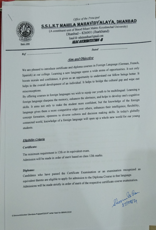

**Aim and Objective** 

We are pleased to introduce certificate and diploma courses in Foreign Language (German, French, Spanish) at our college. Learning a new language opens a wide arena of opportunities. It not only boosts morale and confidence, it gives us an opportunity to understand our fellow beings better. It helps in the overall development of an individual. It helps to bridge the cultural gap and wipe out

misconceptions.<br>By offering courses in foreign languages we wish to equip our youth to be multilingual. Learning a foreign language sharpens the memory, enhances the alertness, and helps to develop one's cognitive skills. It aims not only to make the student more confident, but the knowledge of the foreign language gives them a more competitive edge over others, enhances their intelligence, flexibility, concept formation, openness to diverse cultures and decision making skills. In today's globally connected world, knowledge of a foreign language will open up a whole new world for our young

students.

## **Eligibility Criteria**

### Certificate:

The minimum requirement is 12th or its equivalent exam. Admission will be made in order of merit based on class 12th marks.

Diploma:<br>Candidates who have passed the Certificate Examination or an examination recognized as equivalent thereto are eligible to apply for admission to the Diploma Course in that language. Admissions will be made strictly in order of merit of the respective certificate course examination.

a Car  $21$ 

E:AccountsSection \Ba ndana Prajapati\SSLNT Letter head for BBMKU2019